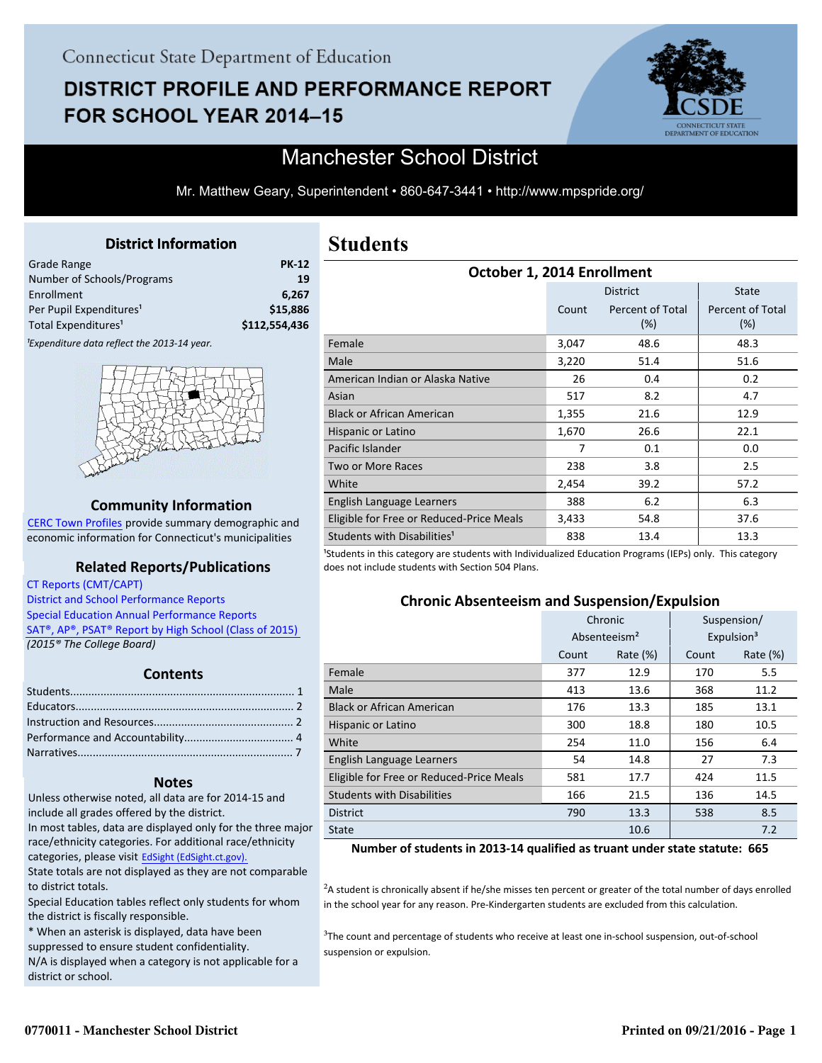# **DISTRICT PROFILE AND PERFORMANCE REPORT** FOR SCHOOL YEAR 2014-15



## Manchester School District

Mr. Matthew Geary, Superintendent • 860-647-3441 • http://www.mpspride.org/

#### **District Information**

<span id="page-0-0"></span>

| <b>PK-12</b>  |
|---------------|
| 19            |
| 6.267         |
| \$15,886      |
| \$112,554,436 |
|               |

<sup>1</sup>Expenditure data reflect the 2013-14 year.



#### **Community Information**

[CERC Town Profiles provide summary demographic and](http://www.cerc.com/townprofiles/) economic information for Connecticut's municipalities

#### **Related Reports/Publications**

 [CT Reports \(CMT/CAPT\)](http://ctreports.com/)   [District and School Performance Reports](http://www.csde.state.ct.us/public/performancereports/reports.asp)   [Special Education Annual Performance Reports](http://edsight.ct.gov/SASPortal/main.do)   [SAT®, AP®, PSAT® Report by High School \(Class of 2015\)](http://www.sde.ct.gov/sde/lib/sde/pdf/evalresearch/hss_ct_pub2015.pdf)   *(2015® The College Board)*

#### **Contents**

#### **Notes**

Unless otherwise noted, all data are for 2014-15 and include all grades offered by the district. In most tables, data are displayed only for the three major

race/ethnicity categories. For additional race/ethnicity categories, please visit EdSight (EdSight.ct.gov).

State totals are not displayed as they are not comparable to district totals.

Special Education tables reflect only students for whom the district is fiscally responsible.

\* When an asterisk is displayed, data have been

suppressed to ensure student confidentiality.

N/A is displayed when a category is not applicable for a district or school.

## **Students**

| October 1, 2014 Enrollment               |       |                            |                                |  |
|------------------------------------------|-------|----------------------------|--------------------------------|--|
|                                          |       | <b>District</b>            | <b>State</b>                   |  |
|                                          | Count | Percent of Total<br>$(\%)$ | <b>Percent of Total</b><br>(%) |  |
| Female                                   | 3,047 | 48.6                       | 48.3                           |  |
| Male                                     | 3,220 | 51.4                       | 51.6                           |  |
| American Indian or Alaska Native         | 26    | 0.4                        | 0.2                            |  |
| Asian                                    | 517   | 8.2                        | 4.7                            |  |
| <b>Black or African American</b>         | 1,355 | 21.6                       | 12.9                           |  |
| Hispanic or Latino                       | 1,670 | 26.6                       | 22.1                           |  |
| Pacific Islander                         | 7     | 0.1                        | 0.0                            |  |
| <b>Two or More Races</b>                 | 238   | 3.8                        | 2.5                            |  |
| White                                    | 2,454 | 39.2                       | 57.2                           |  |
| English Language Learners                | 388   | 6.2                        | 6.3                            |  |
| Eligible for Free or Reduced-Price Meals | 3,433 | 54.8                       | 37.6                           |  |
| Students with Disabilities <sup>1</sup>  | 838   | 13.4                       | 13.3                           |  |

<sup>1</sup>Students in this category are students with Individualized Education Programs (IEPs) only. This category does not include students with Section 504 Plans.

### **Chronic Absenteeism and Suspension/Expulsion**

|                                          | Chronic                  |             |       | Suspension/            |
|------------------------------------------|--------------------------|-------------|-------|------------------------|
|                                          | Absenteeism <sup>2</sup> |             |       | Expulsion <sup>3</sup> |
|                                          | Count                    | Rate $(\%)$ | Count | Rate (%)               |
| Female                                   | 377                      | 12.9        | 170   | 5.5                    |
| Male                                     | 413                      | 13.6        | 368   | 11.2                   |
| <b>Black or African American</b>         | 176                      | 13.3        | 185   | 13.1                   |
| Hispanic or Latino                       | 300                      | 18.8        | 180   | 10.5                   |
| White                                    | 254                      | 11.0        | 156   | 6.4                    |
| English Language Learners                | 54                       | 14.8        | 27    | 7.3                    |
| Eligible for Free or Reduced-Price Meals | 581                      | 17.7        | 424   | 11.5                   |
| <b>Students with Disabilities</b>        | 166                      | 21.5        | 136   | 14.5                   |
| <b>District</b>                          | 790                      | 13.3        | 538   | 8.5                    |
| <b>State</b>                             |                          | 10.6        |       | 7.2                    |

#### **Number of students in 2013-14 qualified as truant under state statute: 665**

<sup>2</sup>A student is chronically absent if he/she misses ten percent or greater of the total number of days enrolled in the school year for any reason. Pre-Kindergarten students are excluded from this calculation.

 $3$ The count and percentage of students who receive at least one in-school suspension, out-of-school suspension or expulsion.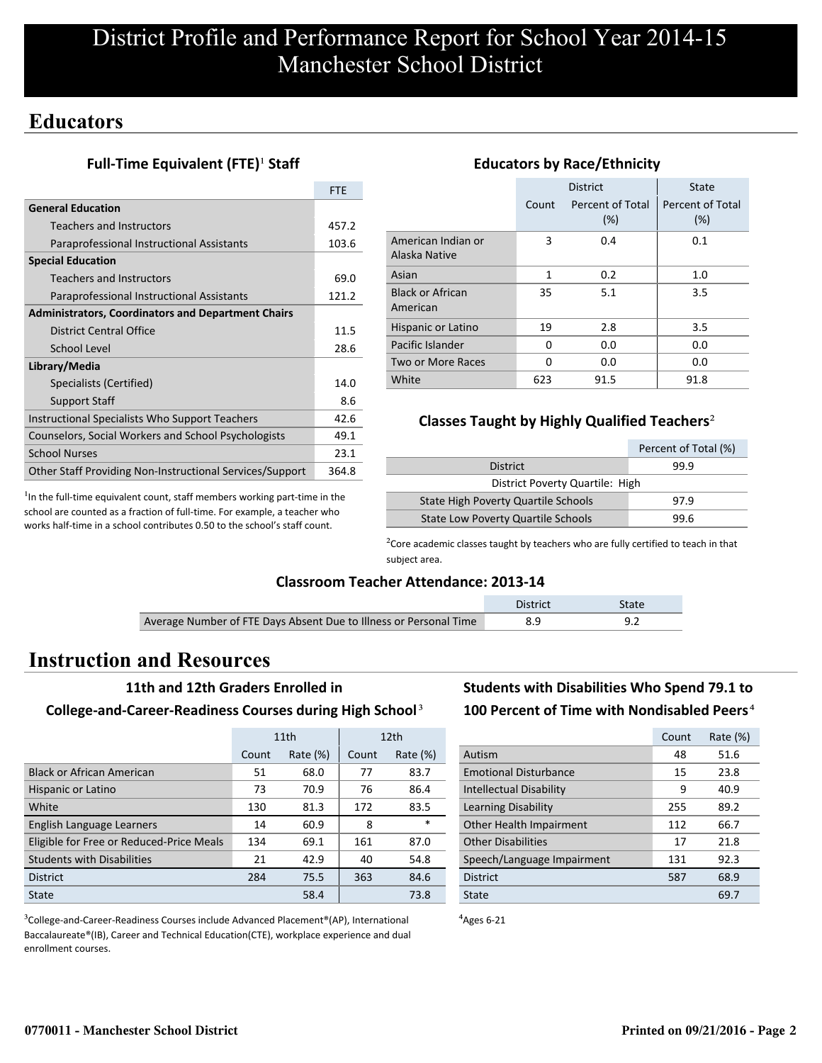## **Educators**

### **Full-Time Equivalent (FTE)<sup>1</sup> Staff**

|                                                           | <b>FTE</b> |
|-----------------------------------------------------------|------------|
| <b>General Education</b>                                  |            |
| <b>Teachers and Instructors</b>                           | 457.2      |
| Paraprofessional Instructional Assistants                 | 103.6      |
| <b>Special Education</b>                                  |            |
| Teachers and Instructors                                  | 69.0       |
| Paraprofessional Instructional Assistants                 | 121.2      |
| <b>Administrators, Coordinators and Department Chairs</b> |            |
| District Central Office                                   | 11.5       |
| School Level                                              | 28.6       |
| Library/Media                                             |            |
| Specialists (Certified)                                   | 14.0       |
| <b>Support Staff</b>                                      | 8.6        |
| Instructional Specialists Who Support Teachers            | 42.6       |
| Counselors, Social Workers and School Psychologists       | 49.1       |
| <b>School Nurses</b>                                      | 23.1       |
| Other Staff Providing Non-Instructional Services/Support  | 364.8      |

 $<sup>1</sup>$ In the full-time equivalent count, staff members working part-time in the</sup> school are counted as a fraction of full-time. For example, a teacher who works half-time in a school contributes 0.50 to the school's staff count.

|                                     | <b>District</b><br>Percent of Total<br>Count<br>(%) |      | State<br>Percent of Total<br>(%) |
|-------------------------------------|-----------------------------------------------------|------|----------------------------------|
| American Indian or<br>Alaska Native | 3                                                   | 0.4  | 0.1                              |
| Asian                               | 1                                                   | 0.2  | 1.0                              |
| <b>Black or African</b><br>American | 35                                                  | 5.1  | 3.5                              |
| Hispanic or Latino                  | 19                                                  | 2.8  | 3.5                              |
| Pacific Islander                    | 0                                                   | 0.0  | 0.0                              |
| Two or More Races                   | O                                                   | 0.0  | 0.0                              |
| White                               | 623                                                 | 91.5 | 91.8                             |

### **Educators by Race/Ethnicity**

### **Classes Taught by Highly Qualified Teachers**²

|                                           | Percent of Total (%) |  |  |
|-------------------------------------------|----------------------|--|--|
| <b>District</b>                           | 99.9                 |  |  |
| District Poverty Quartile: High           |                      |  |  |
| State High Poverty Quartile Schools       | 97.9                 |  |  |
| <b>State Low Poverty Quartile Schools</b> | 99.6                 |  |  |

 $2$ Core academic classes taught by teachers who are fully certified to teach in that subject area.

#### **Classroom Teacher Attendance: 2013-14**

|                                                                   | <b>District</b> | State |
|-------------------------------------------------------------------|-----------------|-------|
| Average Number of FTE Days Absent Due to Illness or Personal Time |                 |       |
|                                                                   |                 |       |

## **Instruction and Resources**

Ī

#### **11th and 12th Graders Enrolled in**

#### **College-and-Career-Readiness Courses during High School**³

|                                          | 11th  |             |       | 12 <sub>th</sub> |
|------------------------------------------|-------|-------------|-------|------------------|
|                                          | Count | Rate $(\%)$ | Count | Rate $(\%)$      |
| <b>Black or African American</b>         | 51    | 68.0        | 77    | 83.7             |
| Hispanic or Latino                       | 73    | 70.9        | 76    | 86.4             |
| White                                    | 130   | 81.3        | 172   | 83.5             |
| English Language Learners                | 14    | 60.9        | 8     | $\ast$           |
| Eligible for Free or Reduced-Price Meals | 134   | 69.1        | 161   | 87.0             |
| <b>Students with Disabilities</b>        | 21    | 42.9        | 40    | 54.8             |
| <b>District</b>                          | 284   | 75.5        | 363   | 84.6             |
| State                                    |       | 58.4        |       | 73.8             |

<sup>3</sup>College-and-Career-Readiness Courses include Advanced Placement®(AP), International Baccalaureate®(IB), Career and Technical Education(CTE), workplace experience and dual enrollment courses.

## **Students with Disabilities Who Spend 79.1 to** 100 Percent of Time with Nondisabled Peers<sup>4</sup>

|                                | Count | Rate (%) |
|--------------------------------|-------|----------|
| Autism                         | 48    | 51.6     |
| <b>Emotional Disturbance</b>   | 15    | 23.8     |
| <b>Intellectual Disability</b> | 9     | 40.9     |
| Learning Disability            | 255   | 89.2     |
| Other Health Impairment        | 112   | 66.7     |
| <b>Other Disabilities</b>      | 17    | 21.8     |
| Speech/Language Impairment     | 131   | 92.3     |
| <b>District</b>                | 587   | 68.9     |
| State                          |       | 69.7     |

 $4$ Ages 6-21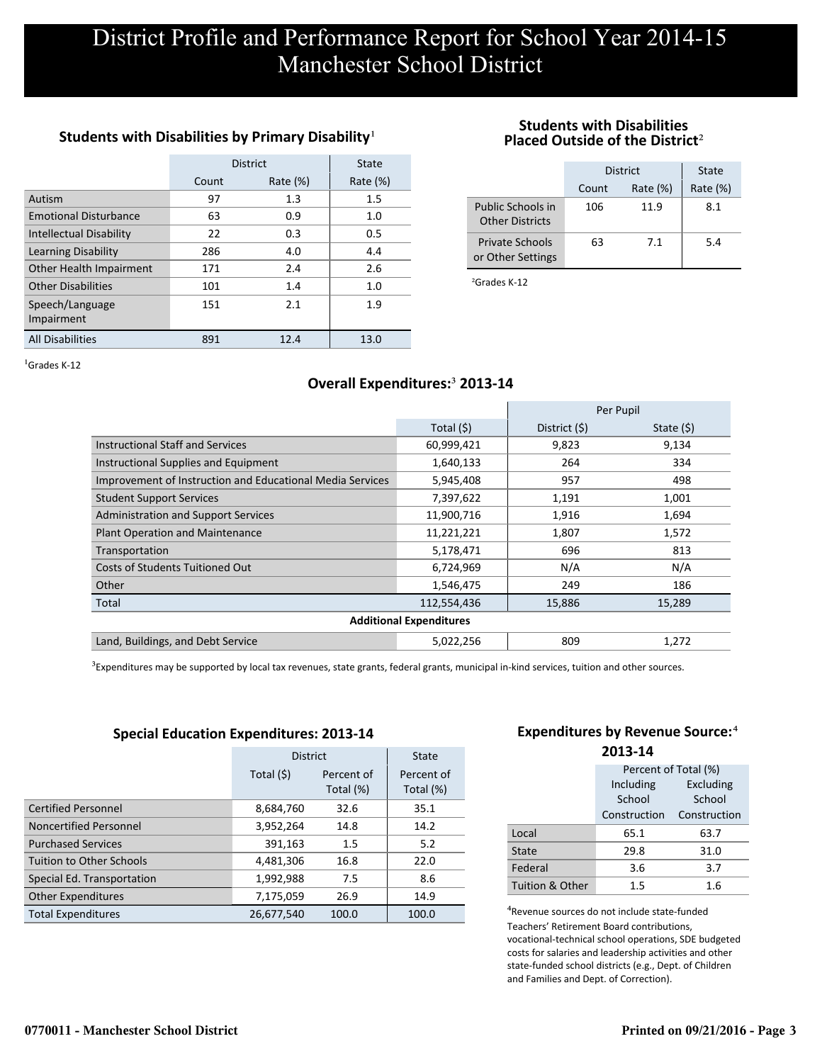### Students with Disabilities by Primary Disability<sup>1</sup>

|                                | <b>District</b> | State       |             |
|--------------------------------|-----------------|-------------|-------------|
|                                | Count           | Rate $(\%)$ | Rate $(\%)$ |
| Autism                         | 97              | 1.3         | 1.5         |
| <b>Emotional Disturbance</b>   | 63              | 0.9         | 1.0         |
| <b>Intellectual Disability</b> | 22              | 0.3         | 0.5         |
| Learning Disability            | 286             | 4.0         | 4.4         |
| Other Health Impairment        | 171             | 2.4         | 2.6         |
| <b>Other Disabilities</b>      | 101             | 1.4         | 1.0         |
| Speech/Language<br>Impairment  | 151             | 2.1         | 1.9         |
| <b>All Disabilities</b>        | 891             | 12.4        | 13.0        |

#### **Students with Disabilities Placed Outside of the District**²

|                                             | District |             | State       |
|---------------------------------------------|----------|-------------|-------------|
|                                             | Count    | Rate $(\%)$ | Rate $(\%)$ |
| Public Schools in<br><b>Other Districts</b> | 106      | 11.9        | 8.1         |
| <b>Private Schools</b><br>or Other Settings | 63       | 7.1         | 5.4         |

²Grades K-12

 ${}^{1}$ Grades K-12

### **Overall Expenditures:**³ **2013-14**

|                                                           |                                | Per Pupil      |             |
|-----------------------------------------------------------|--------------------------------|----------------|-------------|
|                                                           | Total $(5)$                    | District $(5)$ | State $(5)$ |
| <b>Instructional Staff and Services</b>                   | 60,999,421                     | 9,823          | 9,134       |
| Instructional Supplies and Equipment                      | 1,640,133                      | 264            | 334         |
| Improvement of Instruction and Educational Media Services | 5,945,408                      | 957            | 498         |
| <b>Student Support Services</b>                           | 7,397,622                      | 1,191          | 1,001       |
| <b>Administration and Support Services</b>                | 11,900,716                     | 1,916          | 1,694       |
| <b>Plant Operation and Maintenance</b>                    | 11,221,221                     | 1,807          | 1,572       |
| Transportation                                            | 5,178,471                      | 696            | 813         |
| Costs of Students Tuitioned Out                           | 6,724,969                      | N/A            | N/A         |
| Other                                                     | 1,546,475                      | 249            | 186         |
| Total                                                     | 112,554,436                    | 15,886         | 15,289      |
|                                                           | <b>Additional Expenditures</b> |                |             |
| Land, Buildings, and Debt Service                         | 5,022,256                      | 809            | 1,272       |

<sup>3</sup>Expenditures may be supported by local tax revenues, state grants, federal grants, municipal in-kind services, tuition and other sources.

#### **Special Education Expenditures: 2013-14**

|                                 | <b>District</b> |                         | State                   |
|---------------------------------|-----------------|-------------------------|-------------------------|
|                                 | Total $(5)$     | Percent of<br>Total (%) | Percent of<br>Total (%) |
| <b>Certified Personnel</b>      | 8,684,760       | 32.6                    | 35.1                    |
| Noncertified Personnel          | 3,952,264       | 14.8                    | 14.2                    |
| <b>Purchased Services</b>       | 391,163         | 1.5                     | 5.2                     |
| <b>Tuition to Other Schools</b> | 4,481,306       | 16.8                    | 22.0                    |
| Special Ed. Transportation      | 1,992,988       | 7.5                     | 8.6                     |
| <b>Other Expenditures</b>       | 7,175,059       | 26.9                    | 14.9                    |
| <b>Total Expenditures</b>       | 26,677,540      | 100.0                   | 100.0                   |

#### **Expenditures by Revenue Source:**<sup>4</sup> **2013-14**

|                 | Percent of Total (%) |              |
|-----------------|----------------------|--------------|
|                 | Including            | Excluding    |
|                 | School               | School       |
|                 | Construction         | Construction |
| Local           | 65.1                 | 63.7         |
| State           | 29.8                 | 31.0         |
| Federal         | 3.6                  | 3.7          |
| Tuition & Other | 1.5                  | 1.6          |

⁴Revenue sources do not include state-funded Teachers' Retirement Board contributions, vocational-technical school operations, SDE budgeted costs for salaries and leadership activities and other state-funded school districts (e.g., Dept. of Children and Families and Dept. of Correction).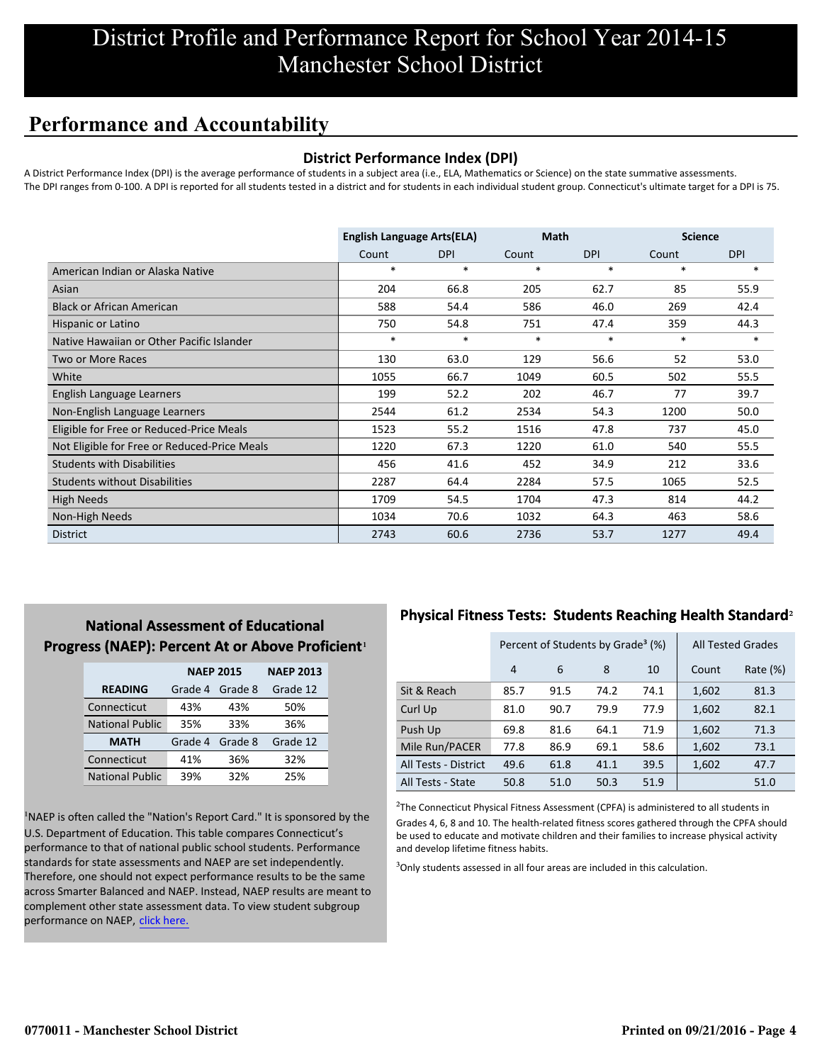## **Performance and Accountability**

#### **District Performance Index (DPI)**

A District Performance Index (DPI) is the average performance of students in a subject area (i.e., ELA, Mathematics or Science) on the state summative assessments. The DPI ranges from 0-100. A DPI is reported for all students tested in a district and for students in each individual student group. Connecticut's ultimate target for a DPI is 75.

|                                              | <b>English Language Arts(ELA)</b> |            | <b>Math</b> |            | <b>Science</b> |            |
|----------------------------------------------|-----------------------------------|------------|-------------|------------|----------------|------------|
|                                              | Count                             | <b>DPI</b> | Count       | <b>DPI</b> | Count          | <b>DPI</b> |
| American Indian or Alaska Native             | $\ast$                            | $\ast$     | $\ast$      | $\ast$     | *              | $\ast$     |
| Asian                                        | 204                               | 66.8       | 205         | 62.7       | 85             | 55.9       |
| <b>Black or African American</b>             | 588                               | 54.4       | 586         | 46.0       | 269            | 42.4       |
| Hispanic or Latino                           | 750                               | 54.8       | 751         | 47.4       | 359            | 44.3       |
| Native Hawaiian or Other Pacific Islander    | $\ast$                            | $\ast$     | $\ast$      | $\ast$     | $\ast$         | $\ast$     |
| <b>Two or More Races</b>                     | 130                               | 63.0       | 129         | 56.6       | 52             | 53.0       |
| White                                        | 1055                              | 66.7       | 1049        | 60.5       | 502            | 55.5       |
| English Language Learners                    | 199                               | 52.2       | 202         | 46.7       | 77             | 39.7       |
| Non-English Language Learners                | 2544                              | 61.2       | 2534        | 54.3       | 1200           | 50.0       |
| Eligible for Free or Reduced-Price Meals     | 1523                              | 55.2       | 1516        | 47.8       | 737            | 45.0       |
| Not Eligible for Free or Reduced-Price Meals | 1220                              | 67.3       | 1220        | 61.0       | 540            | 55.5       |
| <b>Students with Disabilities</b>            | 456                               | 41.6       | 452         | 34.9       | 212            | 33.6       |
| <b>Students without Disabilities</b>         | 2287                              | 64.4       | 2284        | 57.5       | 1065           | 52.5       |
| <b>High Needs</b>                            | 1709                              | 54.5       | 1704        | 47.3       | 814            | 44.2       |
| Non-High Needs                               | 1034                              | 70.6       | 1032        | 64.3       | 463            | 58.6       |
| <b>District</b>                              | 2743                              | 60.6       | 2736        | 53.7       | 1277           | 49.4       |

## **National Assessment of Educational Progress (NAEP): Percent At or Above Proficient1**

|                        | <b>NAEP 2015</b> |         | <b>NAEP 2013</b> |
|------------------------|------------------|---------|------------------|
| <b>READING</b>         | Grade 4          | Grade 8 | Grade 12         |
| Connecticut            | 43%              | 43%     | 50%              |
| <b>National Public</b> | 35%              | 33%     | 36%              |
| <b>MATH</b>            | Grade 4          | Grade 8 | Grade 12         |
| Connecticut            | 41%              | 36%     | 32%              |
| <b>National Public</b> | 39%              | 32%     | 25%              |

<sup>1</sup>NAEP is often called the "Nation's Report Card." It is sponsored by the U.S. Department of Education. This table compares Connecticut's performance to that of national public school students. Performance standards for state assessments and NAEP are set independently. Therefore, one should not expect performance results to be the same across Smarter Balanced and NAEP. Instead, NAEP results are meant to complement other state assessment data. To view student subgroup performance on NAEP, click here.

### **Physical Fitness Tests: Students Reaching Health Standard**²

|                      |                | Percent of Students by Grade <sup>3</sup> (%) |      |      |       | <b>All Tested Grades</b> |
|----------------------|----------------|-----------------------------------------------|------|------|-------|--------------------------|
|                      | $\overline{4}$ | 6                                             | 8    | 10   | Count | Rate $(\%)$              |
| Sit & Reach          | 85.7           | 91.5                                          | 74.2 | 74.1 | 1,602 | 81.3                     |
| Curl Up              | 81.0           | 90.7                                          | 79.9 | 77.9 | 1,602 | 82.1                     |
| Push Up              | 69.8           | 81.6                                          | 64.1 | 71.9 | 1,602 | 71.3                     |
| Mile Run/PACER       | 77.8           | 86.9                                          | 69.1 | 58.6 | 1,602 | 73.1                     |
| All Tests - District | 49.6           | 61.8                                          | 41.1 | 39.5 | 1,602 | 47.7                     |
| All Tests - State    | 50.8           | 51.0                                          | 50.3 | 51.9 |       | 51.0                     |

 $2$ The Connecticut Physical Fitness Assessment (CPFA) is administered to all students in Grades 4, 6, 8 and 10. The health-related fitness scores gathered through the CPFA should be used to educate and motivate children and their families to increase physical activity and develop lifetime fitness habits.

<sup>3</sup>Only students assessed in all four areas are included in this calculation.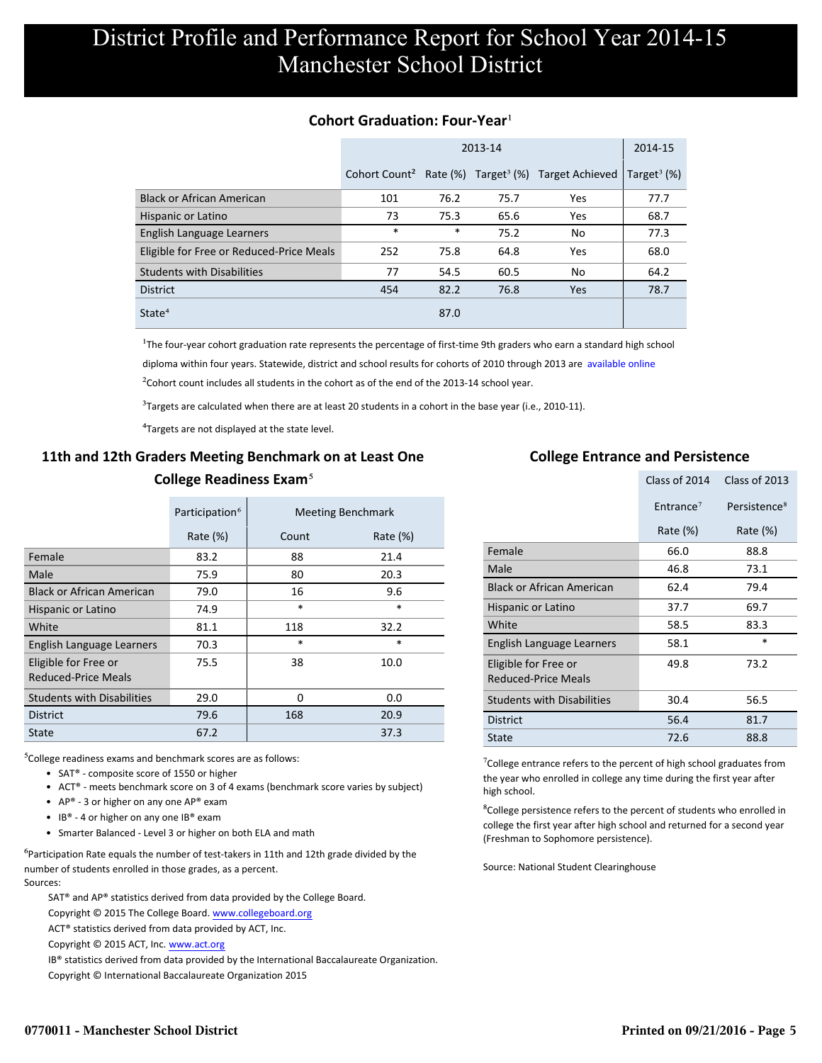#### **Cohort Graduation: Four-Year**<sup>1</sup>

|                                          |                           |        | 2013-14 |                                                        | 2014-15                    |
|------------------------------------------|---------------------------|--------|---------|--------------------------------------------------------|----------------------------|
|                                          | Cohort Count <sup>2</sup> |        |         | Rate $(\%)$ Target <sup>3</sup> $(\%)$ Target Achieved | Target <sup>3</sup> $(\%)$ |
| <b>Black or African American</b>         | 101                       | 76.2   | 75.7    | Yes                                                    | 77.7                       |
| Hispanic or Latino                       | 73                        | 75.3   | 65.6    | Yes                                                    | 68.7                       |
| English Language Learners                | $\ast$                    | $\ast$ | 75.2    | No                                                     | 77.3                       |
| Eligible for Free or Reduced-Price Meals | 252                       | 75.8   | 64.8    | Yes                                                    | 68.0                       |
| <b>Students with Disabilities</b>        | 77                        | 54.5   | 60.5    | No                                                     | 64.2                       |
| <b>District</b>                          | 454                       | 82.2   | 76.8    | Yes                                                    | 78.7                       |
| State <sup>4</sup>                       |                           | 87.0   |         |                                                        |                            |

<sup>1</sup>The four-year cohort graduation rate represents the percentage of first-time 9th graders who earn a standard high school [diploma within four years. Statewide, district and school results for cohorts of 2010 through 2013 are available online.](http://www.sde.ct.gov/sde/cwp/view.asp?a=2758&q=334898)

 $2$ Cohort count includes all students in the cohort as of the end of the 2013-14 school year.

 $3$ Targets are calculated when there are at least 20 students in a cohort in the base year (i.e., 2010-11).

<sup>4</sup>Targets are not displayed at the state level.

## **11th and 12th Graders Meeting Benchmark on at Least One College Readiness Exam**⁵

|                                                    | Participation <sup>6</sup> |        | <b>Meeting Benchmark</b> |
|----------------------------------------------------|----------------------------|--------|--------------------------|
|                                                    | Rate $(\%)$                | Count  | Rate $(\%)$              |
| Female                                             | 83.2                       | 88     | 21.4                     |
| Male                                               | 75.9                       | 80     | 20.3                     |
| <b>Black or African American</b>                   | 79.0                       | 16     | 9.6                      |
| Hispanic or Latino                                 | 74.9                       | $\ast$ | $\ast$                   |
| White                                              | 81.1                       | 118    | 32.2                     |
| English Language Learners                          | 70.3                       | $\ast$ | $\ast$                   |
| Eligible for Free or<br><b>Reduced-Price Meals</b> | 75.5                       | 38     | 10.0                     |
| <b>Students with Disabilities</b>                  | 29.0                       | 0      | 0.0                      |
| <b>District</b>                                    | 79.6                       | 168    | 20.9                     |
| <b>State</b>                                       | 67.2                       |        | 37.3                     |

 $5$ College readiness exams and benchmark scores are as follows:

- SAT® composite score of 1550 or higher
- ACT® meets benchmark score on 3 of 4 exams (benchmark score varies by subject)
- AP® 3 or higher on any one  $AP^®$  exam
- IB® 4 or higher on any one IB® exam
- Smarter Balanced Level 3 or higher on both ELA and math

 $6$ Participation Rate equals the number of test-takers in 11th and 12th grade divided by the number of students enrolled in those grades, as a percent. Sources:

SAT® and AP® statistics derived from data provided by the College Board.

Copyright © 2015 The College Board. www.collegeboard.org

ACT® statistics derived from data provided by ACT, Inc.

Copyright © 2015 ACT, Inc. www.act.org

IB® statistics derived from data provided by the International Baccalaureate Organization.

Copyright © International Baccalaureate Organization 2015

### **College Entrance and Persistence**

|                                             | Class of 2014         | Class of 2013            |
|---------------------------------------------|-----------------------|--------------------------|
|                                             | Entrance <sup>7</sup> | Persistence <sup>8</sup> |
|                                             | Rate $(\%)$           | Rate (%)                 |
| Female                                      | 66.0                  | 88.8                     |
| Male                                        | 46.8                  | 73.1                     |
| <b>Black or African American</b>            | 62.4                  | 79.4                     |
| Hispanic or Latino                          | 37.7                  | 69.7                     |
| White                                       | 58.5                  | 83.3                     |
| English Language Learners                   | 58.1                  | $\ast$                   |
| Eligible for Free or<br>Reduced-Price Meals | 49.8                  | 73.2                     |
| <b>Students with Disabilities</b>           | 30.4                  | 56.5                     |
| <b>District</b>                             | 56.4                  | 81.7                     |
| State                                       | 72.6                  | 88.8                     |

<sup>7</sup>College entrance refers to the percent of high school graduates from the year who enrolled in college any time during the first year after high school.

⁸College persistence refers to the percent of students who enrolled in college the first year after high school and returned for a second year (Freshman to Sophomore persistence).

Source: National Student Clearinghouse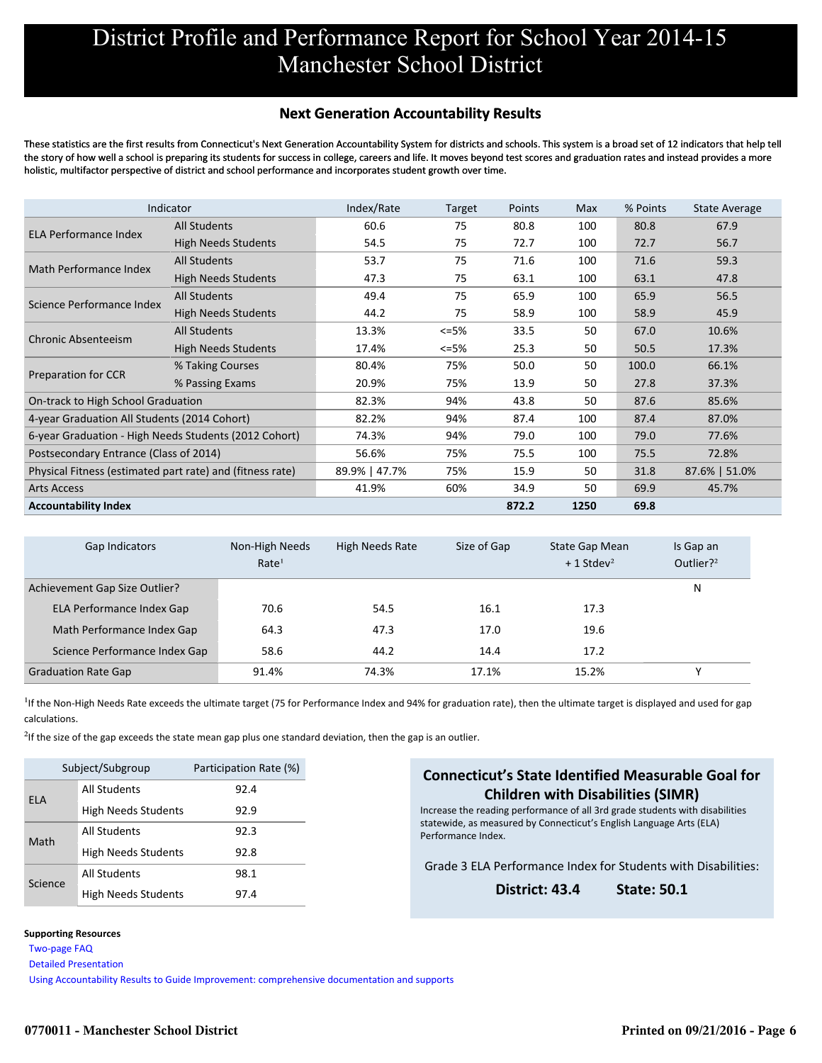#### **Next Generation Accountability Results**

These statistics are the first results from Connecticut's Next Generation Accountability System for districts and schools. This system is a broad set of 12 indicators that help tell the story of how well a school is preparing its students for success in college, careers and life. It moves beyond test scores and graduation rates and instead provides a more holistic, multifactor perspective of district and school performance and incorporates student growth over time.

|                                                           | Indicator                  | Index/Rate    | Target | Points | Max  | % Points | <b>State Average</b> |
|-----------------------------------------------------------|----------------------------|---------------|--------|--------|------|----------|----------------------|
| <b>ELA Performance Index</b>                              | <b>All Students</b>        | 60.6          | 75     | 80.8   | 100  | 80.8     | 67.9                 |
|                                                           | <b>High Needs Students</b> | 54.5          | 75     | 72.7   | 100  | 72.7     | 56.7                 |
| Math Performance Index                                    | <b>All Students</b>        | 53.7          | 75     | 71.6   | 100  | 71.6     | 59.3                 |
|                                                           | <b>High Needs Students</b> | 47.3          | 75     | 63.1   | 100  | 63.1     | 47.8                 |
| Science Performance Index                                 | <b>All Students</b>        | 49.4          | 75     | 65.9   | 100  | 65.9     | 56.5                 |
|                                                           | <b>High Needs Students</b> | 44.2          | 75     | 58.9   | 100  | 58.9     | 45.9                 |
|                                                           | <b>All Students</b>        | 13.3%         | $<=5%$ | 33.5   | 50   | 67.0     | 10.6%                |
| <b>Chronic Absenteeism</b>                                | <b>High Needs Students</b> | 17.4%         | $<=5%$ | 25.3   | 50   | 50.5     | 17.3%                |
|                                                           | % Taking Courses           | 80.4%         | 75%    | 50.0   | 50   | 100.0    | 66.1%                |
| <b>Preparation for CCR</b>                                | % Passing Exams            | 20.9%         | 75%    | 13.9   | 50   | 27.8     | 37.3%                |
| On-track to High School Graduation                        |                            | 82.3%         | 94%    | 43.8   | 50   | 87.6     | 85.6%                |
| 4-year Graduation All Students (2014 Cohort)              |                            | 82.2%         | 94%    | 87.4   | 100  | 87.4     | 87.0%                |
| 6-year Graduation - High Needs Students (2012 Cohort)     |                            | 74.3%         | 94%    | 79.0   | 100  | 79.0     | 77.6%                |
| Postsecondary Entrance (Class of 2014)                    |                            | 56.6%         | 75%    | 75.5   | 100  | 75.5     | 72.8%                |
| Physical Fitness (estimated part rate) and (fitness rate) |                            | 89.9%   47.7% | 75%    | 15.9   | 50   | 31.8     | 87.6%   51.0%        |
| <b>Arts Access</b>                                        |                            | 41.9%         | 60%    | 34.9   | 50   | 69.9     | 45.7%                |
| <b>Accountability Index</b>                               |                            |               |        | 872.2  | 1250 | 69.8     |                      |

| Gap Indicators                   | Non-High Needs<br>Rate <sup>1</sup> | High Needs Rate | Size of Gap | State Gap Mean<br>$+1$ Stdev <sup>2</sup> | Is Gap an<br>Outlier? $2^2$ |
|----------------------------------|-------------------------------------|-----------------|-------------|-------------------------------------------|-----------------------------|
| Achievement Gap Size Outlier?    |                                     |                 |             |                                           | N                           |
| <b>ELA Performance Index Gap</b> | 70.6                                | 54.5            | 16.1        | 17.3                                      |                             |
| Math Performance Index Gap       | 64.3                                | 47.3            | 17.0        | 19.6                                      |                             |
| Science Performance Index Gap    | 58.6                                | 44.2            | 14.4        | 17.2                                      |                             |
| <b>Graduation Rate Gap</b>       | 91.4%                               | 74.3%           | 17.1%       | 15.2%                                     | v                           |

<sup>1</sup>If the Non-High Needs Rate exceeds the ultimate target (75 for Performance Index and 94% for graduation rate), then the ultimate target is displayed and used for gap calculations.

 $2$ If the size of the gap exceeds the state mean gap plus one standard deviation, then the gap is an outlier.

|            | Subject/Subgroup           | Participation Rate (%) |
|------------|----------------------------|------------------------|
| <b>ELA</b> | All Students               | 92.4                   |
|            | <b>High Needs Students</b> | 92.9                   |
| Math       | All Students               | 92.3                   |
|            | High Needs Students        | 92.8                   |
|            | All Students               | 98.1                   |
| Science    | <b>High Needs Students</b> | 97.4                   |

#### **Supporting Resources**

 [Two-page FAQ](http://www.sde.ct.gov/sde/lib/sde/pdf/evalresearch/nextgenfaq.pdf) 

 [Detailed Presentation](http://www.sde.ct.gov/sde/lib/sde/pdf/evalresearch/next_generation_accountability_system_march_2016.pdf) 

 [Using Accountability Results to Guide Improvement: comprehensive documentation and supports](http://www.sde.ct.gov/sde/lib/sde/pdf/evalresearch/using_accountability_results_to_guide_improvement_20160228.pdf)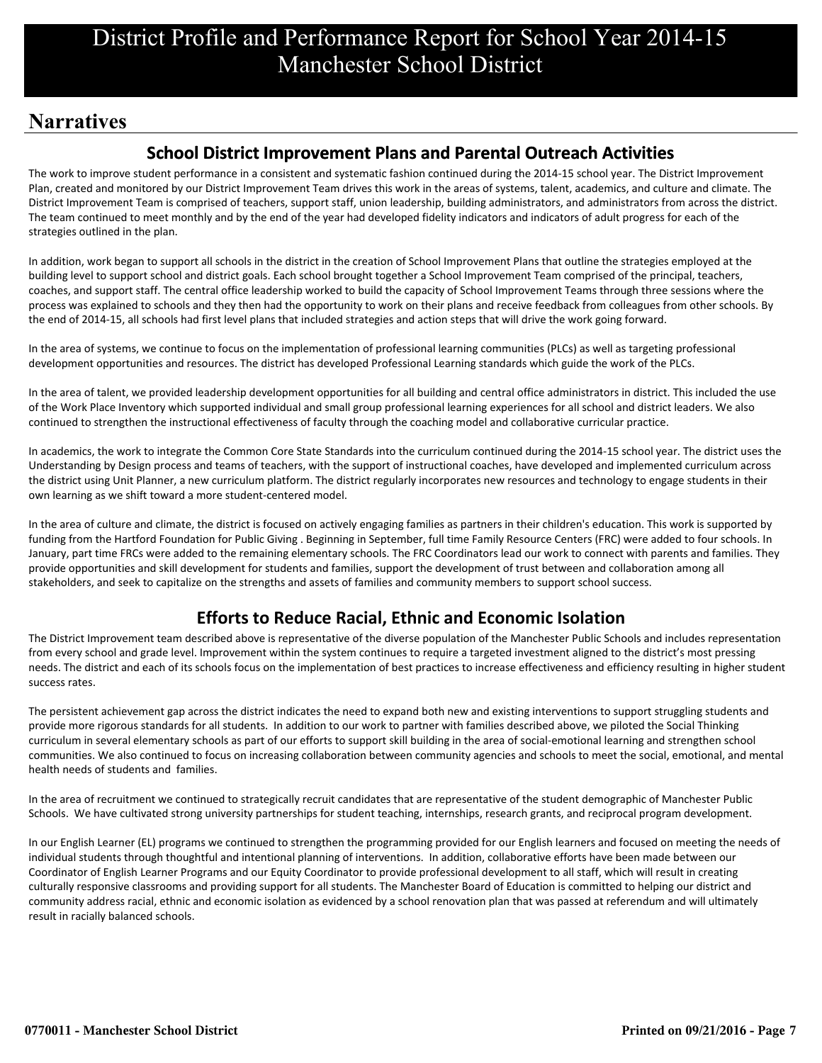## **Narratives**

## **School District Improvement Plans and Parental Outreach Activities**

The work to improve student performance in a consistent and systematic fashion continued during the 2014-15 school year. The District Improvement Plan, created and monitored by our District Improvement Team drives this work in the areas of systems, talent, academics, and culture and climate. The District Improvement Team is comprised of teachers, support staff, union leadership, building administrators, and administrators from across the district. The team continued to meet monthly and by the end of the year had developed fidelity indicators and indicators of adult progress for each of the strategies outlined in the plan.

In addition, work began to support all schools in the district in the creation of School Improvement Plans that outline the strategies employed at the building level to support school and district goals. Each school brought together a School Improvement Team comprised of the principal, teachers, coaches, and support staff. The central office leadership worked to build the capacity of School Improvement Teams through three sessions where the process was explained to schools and they then had the opportunity to work on their plans and receive feedback from colleagues from other schools. By the end of 2014-15, all schools had first level plans that included strategies and action steps that will drive the work going forward.

In the area of systems, we continue to focus on the implementation of professional learning communities (PLCs) as well as targeting professional development opportunities and resources. The district has developed Professional Learning standards which guide the work of the PLCs.

In the area of talent, we provided leadership development opportunities for all building and central office administrators in district. This included the use of the Work Place Inventory which supported individual and small group professional learning experiences for all school and district leaders. We also continued to strengthen the instructional effectiveness of faculty through the coaching model and collaborative curricular practice.

In academics, the work to integrate the Common Core State Standards into the curriculum continued during the 2014-15 school year. The district uses the Understanding by Design process and teams of teachers, with the support of instructional coaches, have developed and implemented curriculum across the district using Unit Planner, a new curriculum platform. The district regularly incorporates new resources and technology to engage students in their own learning as we shift toward a more student-centered model.

In the area of culture and climate, the district is focused on actively engaging families as partners in their children's education. This work is supported by funding from the Hartford Foundation for Public Giving . Beginning in September, full time Family Resource Centers (FRC) were added to four schools. In January, part time FRCs were added to the remaining elementary schools. The FRC Coordinators lead our work to connect with parents and families. They provide opportunities and skill development for students and families, support the development of trust between and collaboration among all stakeholders, and seek to capitalize on the strengths and assets of families and community members to support school success.

## **Efforts to Reduce Racial, Ethnic and Economic Isolation**

The District Improvement team described above is representative of the diverse population of the Manchester Public Schools and includes representation from every school and grade level. Improvement within the system continues to require a targeted investment aligned to the district's most pressing needs. The district and each of its schools focus on the implementation of best practices to increase effectiveness and efficiency resulting in higher student success rates.

The persistent achievement gap across the district indicates the need to expand both new and existing interventions to support struggling students and provide more rigorous standards for all students. In addition to our work to partner with families described above, we piloted the Social Thinking curriculum in several elementary schools as part of our efforts to support skill building in the area of social-emotional learning and strengthen school communities. We also continued to focus on increasing collaboration between community agencies and schools to meet the social, emotional, and mental health needs of students and families.

In the area of recruitment we continued to strategically recruit candidates that are representative of the student demographic of Manchester Public Schools. We have cultivated strong university partnerships for student teaching, internships, research grants, and reciprocal program development.

In our English Learner (EL) programs we continued to strengthen the programming provided for our English learners and focused on meeting the needs of individual students through thoughtful and intentional planning of interventions. In addition, collaborative efforts have been made between our Coordinator of English Learner Programs and our Equity Coordinator to provide professional development to all staff, which will result in creating culturally responsive classrooms and providing support for all students. The Manchester Board of Education is committed to helping our district and community address racial, ethnic and economic isolation as evidenced by a school renovation plan that was passed at referendum and will ultimately result in racially balanced schools.